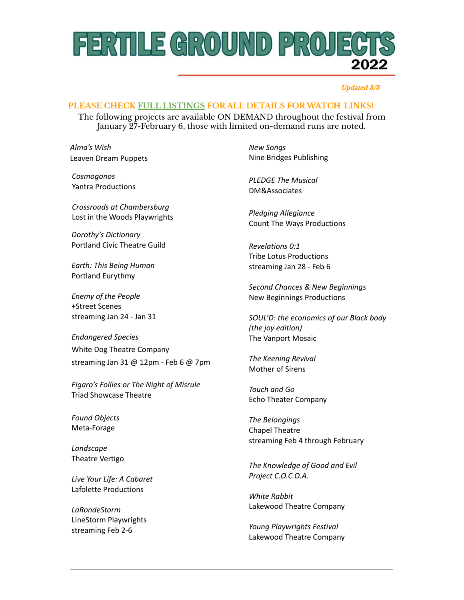### FERTILE GROUND PROJECT 2022

#### Updated 3/3

### **PLEASE CHECK FULL [LISTINGS](https://www.fertilegroundpdx2022.org/2022-festival/) FOR ALL DETAILS FORWATCH LINKS!**

The following projects are available ON DEMAND throughout the festival from January 27-February 6, those with limited on-demand runs are noted.

*Alma's Wish* Leaven Dream Puppets

*Cosmogonos* Yantra Productions

*Crossroads at Chambersburg* Lost in the Woods Playwrights

*Dorothy's Dictionary* Portland Civic Theatre Guild

*Earth: This Being Human* Portland Eurythmy

*Enemy of the People* +Street Scenes streaming Jan 24 - Jan 31

*Endangered Species* White Dog Theatre Company streaming Jan 31 @ 12pm - Feb 6 @ 7pm

*Figaro's Follies or The Night of Misrule* Triad Showcase Theatre

*Found Objects* Meta-Forage

*Landscape* Theatre Vertigo

*Live Your Life: A Cabaret* Lafolette Productions

*LaRondeStorm* LineStorm Playwrights streaming Feb 2-6

*New Songs* Nine Bridges Publishing

*PLEDGE The Musical* DM&Associates

*Pledging Allegiance* Count The Ways Productions

*Revelations 0:1* Tribe Lotus Productions streaming Jan 28 - Feb 6

*Second Chances & New Beginnings* New Beginnings Productions

*SOUL'D: the economics of our Black body (the joy edition)* The Vanport Mosaic

*The Keening Revival* Mother of Sirens

*Touch and Go* Echo Theater Company

*The Belongings* Chapel Theatre streaming Feb 4 through February

*The Knowledge of Good and Evil Project C.O.C.O.A.*

*White Rabbit* Lakewood Theatre Company

*Young Playwrights Festival* Lakewood Theatre Company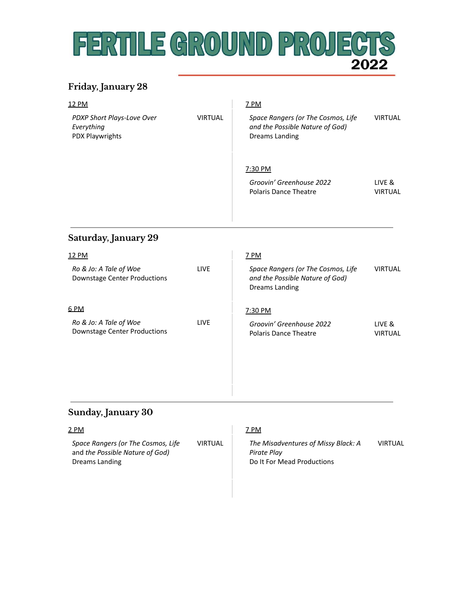## FERTILE GROUND PROJECT 2022

### **Friday, January 28**

| 12 PM                                                         |                | 7 PM                                                                                           |                          |
|---------------------------------------------------------------|----------------|------------------------------------------------------------------------------------------------|--------------------------|
| PDXP Short Plays-Love Over<br>Everything<br>PDX Playwrights   | <b>VIRTUAL</b> | Space Rangers (or The Cosmos, Life<br>and the Possible Nature of God)<br><b>Dreams Landing</b> | <b>VIRTUAL</b>           |
|                                                               |                | 7:30 PM                                                                                        |                          |
|                                                               |                | Groovin' Greenhouse 2022<br><b>Polaris Dance Theatre</b>                                       | LIVE &<br><b>VIRTUAL</b> |
| Saturday, January 29                                          |                |                                                                                                |                          |
| 12 PM                                                         |                | <b>7 PM</b>                                                                                    |                          |
| Ro & Jo: A Tale of Woe<br><b>Downstage Center Productions</b> | LIVE           | Space Rangers (or The Cosmos, Life<br>and the Possible Nature of God)<br><b>Dreams Landing</b> | <b>VIRTUAL</b>           |
| 6 PM                                                          |                | 7:30 PM                                                                                        |                          |
| Ro & Jo: A Tale of Woe<br><b>Downstage Center Productions</b> | LIVE           | Groovin' Greenhouse 2022<br><b>Polaris Dance Theatre</b>                                       | LIVE &<br><b>VIRTUAL</b> |
|                                                               |                |                                                                                                |                          |

### **Sunday, January 30**

### 2 PM

*Space Rangers (or The Cosmos, Life* and *the Possible Nature of God)* Dreams Landing

### 7 PM

VIRTUAL

*The Misadventures of Missy Black: A Pirate Play* Do It For Mead Productions VIRTUAL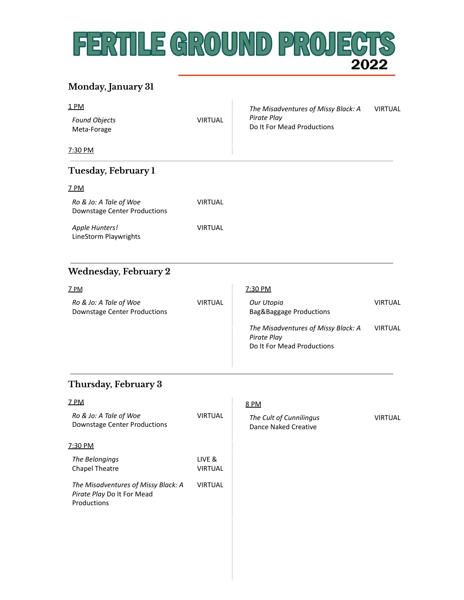# FERTILE GROUND PROJECTS

### **Monday, January 31**

| <u>1 PM</u><br><b>Found Objects</b><br>Meta-Forage                               | <b>VIRTUAL</b>           | The Misadventures of Missy Black: A<br>Pirate Play<br>Do It For Mead Productions | <b>VIRTUAL</b> |
|----------------------------------------------------------------------------------|--------------------------|----------------------------------------------------------------------------------|----------------|
| <u>7:30 PM</u>                                                                   |                          |                                                                                  |                |
| Tuesday, February 1                                                              |                          |                                                                                  |                |
| <u>7 PM</u>                                                                      |                          |                                                                                  |                |
| Ro & Jo: A Tale of Woe<br><b>Downstage Center Productions</b>                    | <b>VIRTUAL</b>           |                                                                                  |                |
| Apple Hunters!<br>LineStorm Playwrights                                          | <b>VIRTUAL</b>           |                                                                                  |                |
| <b>Wednesday, February 2</b>                                                     |                          |                                                                                  |                |
| <u>7 PM</u>                                                                      |                          | 7:30 PM                                                                          |                |
| Ro & Jo: A Tale of Woe<br><b>Downstage Center Productions</b>                    | <b>VIRTUAL</b>           | Our Utopia<br>Bag&Baggage Productions                                            | <b>VIRTUAL</b> |
|                                                                                  |                          | The Misadventures of Missy Black: A<br>Pirate Play<br>Do It For Mead Productions | <b>VIRTUAL</b> |
| <b>Thursday, February 3</b>                                                      |                          |                                                                                  |                |
| 7 PM                                                                             |                          | 8 PM                                                                             |                |
| Ro & Jo: A Tale of Woe<br><b>Downstage Center Productions</b>                    | <b>VIRTUAL</b>           | The Cult of Cunnilingus<br><b>Dance Naked Creative</b>                           | <b>VIRTUAL</b> |
| 7:30 PM                                                                          |                          |                                                                                  |                |
| The Belongings<br><b>Chapel Theatre</b>                                          | LIVE &<br><b>VIRTUAL</b> |                                                                                  |                |
| The Misadventures of Missy Black: A<br>Pirate Play Do It For Mead<br>Productions | <b>VIRTUAL</b>           |                                                                                  |                |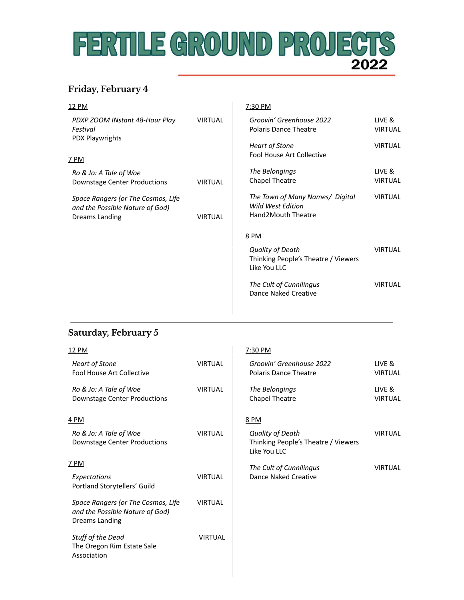## FERTILE GROUND PROJECTS 2022

### **Friday, February 4**

| 12 PM                                                                                          |                | 7:30 PM                                                                    |                          |
|------------------------------------------------------------------------------------------------|----------------|----------------------------------------------------------------------------|--------------------------|
| PDXP ZOOM INstant 48-Hour Play<br>Festival<br>PDX Playwrights                                  | <b>VIRTUAL</b> | Groovin' Greenhouse 2022<br><b>Polaris Dance Theatre</b>                   | LIVE &<br><b>VIRTUAL</b> |
| <u>7 PM</u>                                                                                    |                | <b>Heart of Stone</b><br>Fool House Art Collective                         | <b>VIRTUAL</b>           |
| Ro & Jo: A Tale of Woe<br><b>Downstage Center Productions</b>                                  | <b>VIRTUAL</b> | The Belongings<br><b>Chapel Theatre</b>                                    | LIVE &<br><b>VIRTUAL</b> |
| Space Rangers (or The Cosmos, Life<br>and the Possible Nature of God)<br><b>Dreams Landing</b> | <b>VIRTUAL</b> | The Town of Many Names/ Digital<br>Wild West Edition<br>Hand2Mouth Theatre | <b>VIRTUAL</b>           |
|                                                                                                |                | 8 PM                                                                       |                          |
|                                                                                                |                | Quality of Death<br>Thinking People's Theatre / Viewers<br>Like You LLC    | <b>VIRTUAL</b>           |
|                                                                                                |                | The Cult of Cunnilingus<br>Dance Naked Creative                            | <b>VIRTUAL</b>           |
|                                                                                                |                |                                                                            |                          |

### **Saturday, February 5**

| <u>12 PM</u>                                                                            |                | 7:30 PM                                                                        |                          |
|-----------------------------------------------------------------------------------------|----------------|--------------------------------------------------------------------------------|--------------------------|
| <b>Heart of Stone</b><br><b>Fool House Art Collective</b>                               | <b>VIRTUAL</b> | Groovin' Greenhouse 2022<br><b>Polaris Dance Theatre</b>                       | LIVE &<br><b>VIRTUAL</b> |
| Ro & Jo: A Tale of Woe<br>Downstage Center Productions                                  | <b>VIRTUAL</b> | The Belongings<br><b>Chapel Theatre</b>                                        | LIVE &<br><b>VIRTUAL</b> |
| <u>4 PM</u>                                                                             |                | <u>8 PM</u>                                                                    |                          |
| Ro & Jo: A Tale of Woe<br>Downstage Center Productions                                  | <b>VIRTUAL</b> | <b>Quality of Death</b><br>Thinking People's Theatre / Viewers<br>Like You LLC | <b>VIRTUAL</b>           |
| <u> 7 PM</u>                                                                            |                | The Cult of Cunnilingus                                                        | <b>VIRTUAL</b>           |
| Expectations<br>Portland Storytellers' Guild                                            | <b>VIRTUAL</b> | Dance Naked Creative                                                           |                          |
| Space Rangers (or The Cosmos, Life<br>and the Possible Nature of God)<br>Dreams Landing | <b>VIRTUAL</b> |                                                                                |                          |
| Stuff of the Dead<br>The Oregon Rim Estate Sale<br>Association                          | <b>VIRTUAL</b> |                                                                                |                          |
|                                                                                         |                |                                                                                |                          |